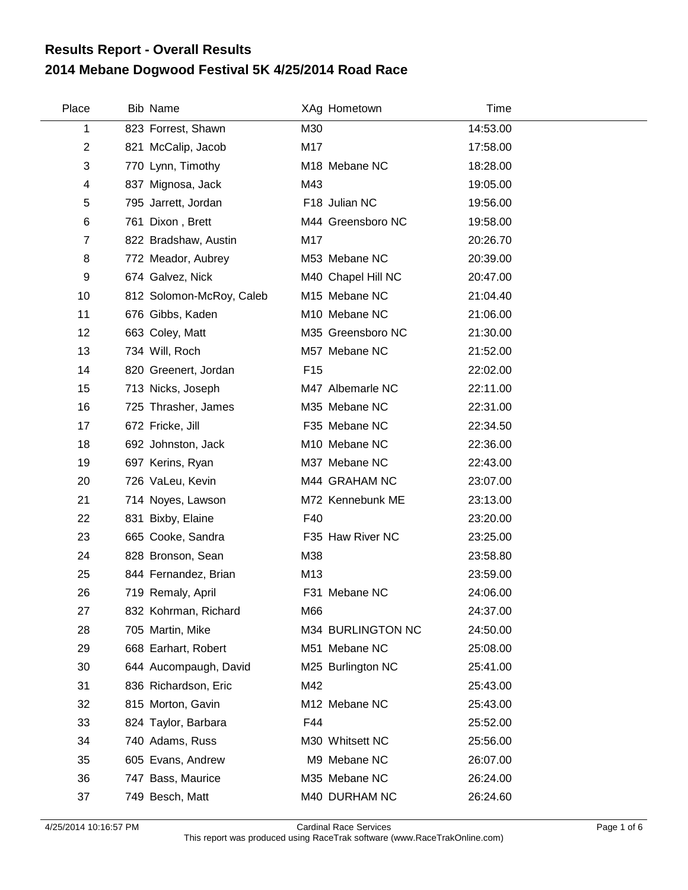## **2014 Mebane Dogwood Festival 5K 4/25/2014 Road Race Results Report - Overall Results**

| Place          |     | Bib Name                 |                 | XAg Hometown              | Time     |  |
|----------------|-----|--------------------------|-----------------|---------------------------|----------|--|
| 1              |     | 823 Forrest, Shawn       | M30             |                           | 14:53.00 |  |
| $\overline{c}$ |     | 821 McCalip, Jacob       | M17             |                           | 17:58.00 |  |
| 3              |     | 770 Lynn, Timothy        |                 | M <sub>18</sub> Mebane NC | 18:28.00 |  |
| 4              |     | 837 Mignosa, Jack        | M43             |                           | 19:05.00 |  |
| 5              |     | 795 Jarrett, Jordan      |                 | F18 Julian NC             | 19:56.00 |  |
| 6              |     | 761 Dixon, Brett         |                 | M44 Greensboro NC         | 19:58.00 |  |
| 7              |     | 822 Bradshaw, Austin     | M17             |                           | 20:26.70 |  |
| 8              |     | 772 Meador, Aubrey       |                 | M53 Mebane NC             | 20:39.00 |  |
| 9              |     | 674 Galvez, Nick         |                 | M40 Chapel Hill NC        | 20:47.00 |  |
| 10             |     | 812 Solomon-McRoy, Caleb |                 | M15 Mebane NC             | 21:04.40 |  |
| 11             |     | 676 Gibbs, Kaden         |                 | M10 Mebane NC             | 21:06.00 |  |
| 12             |     | 663 Coley, Matt          |                 | M35 Greensboro NC         | 21:30.00 |  |
| 13             |     | 734 Will, Roch           |                 | M57 Mebane NC             | 21:52.00 |  |
| 14             |     | 820 Greenert, Jordan     | F <sub>15</sub> |                           | 22:02.00 |  |
| 15             |     | 713 Nicks, Joseph        |                 | M47 Albemarle NC          | 22:11.00 |  |
| 16             |     | 725 Thrasher, James      |                 | M35 Mebane NC             | 22:31.00 |  |
| 17             |     | 672 Fricke, Jill         |                 | F35 Mebane NC             | 22:34.50 |  |
| 18             |     | 692 Johnston, Jack       |                 | M10 Mebane NC             | 22:36.00 |  |
| 19             |     | 697 Kerins, Ryan         |                 | M37 Mebane NC             | 22:43.00 |  |
| 20             |     | 726 VaLeu, Kevin         |                 | M44 GRAHAM NC             | 23:07.00 |  |
| 21             |     | 714 Noyes, Lawson        |                 | M72 Kennebunk ME          | 23:13.00 |  |
| 22             |     | 831 Bixby, Elaine        | F40             |                           | 23:20.00 |  |
| 23             |     | 665 Cooke, Sandra        |                 | F35 Haw River NC          | 23:25.00 |  |
| 24             |     | 828 Bronson, Sean        | M38             |                           | 23:58.80 |  |
| 25             |     | 844 Fernandez, Brian     | M13             |                           | 23:59.00 |  |
| 26             |     | 719 Remaly, April        |                 | F31 Mebane NC             | 24:06.00 |  |
| 27             |     | 832 Kohrman, Richard     | M66             |                           | 24:37.00 |  |
| 28             |     | 705 Martin, Mike         |                 | M34 BURLINGTON NC         | 24:50.00 |  |
| 29             |     | 668 Earhart, Robert      |                 | M51 Mebane NC             | 25:08.00 |  |
| 30             |     | 644 Aucompaugh, David    |                 | M25 Burlington NC         | 25:41.00 |  |
| 31             |     | 836 Richardson, Eric     | M42             |                           | 25:43.00 |  |
| 32             |     | 815 Morton, Gavin        |                 | M12 Mebane NC             | 25:43.00 |  |
| 33             |     | 824 Taylor, Barbara      | F44             |                           | 25:52.00 |  |
| 34             |     | 740 Adams, Russ          |                 | M30 Whitsett NC           | 25:56.00 |  |
| 35             |     | 605 Evans, Andrew        |                 | M9 Mebane NC              | 26:07.00 |  |
| 36             | 747 | Bass, Maurice            |                 | M35 Mebane NC             | 26:24.00 |  |
| 37             |     | 749 Besch, Matt          |                 | M40 DURHAM NC             | 26:24.60 |  |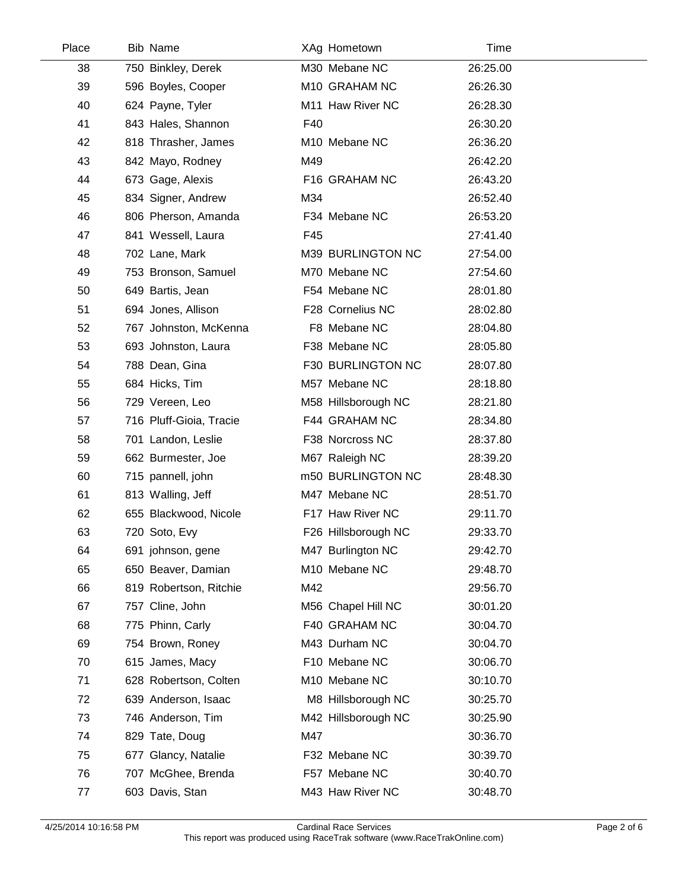| Place | <b>Bib Name</b>         |     | XAg Hometown        | Time     |
|-------|-------------------------|-----|---------------------|----------|
| 38    | 750 Binkley, Derek      |     | M30 Mebane NC       | 26:25.00 |
| 39    | 596 Boyles, Cooper      |     | M10 GRAHAM NC       | 26:26.30 |
| 40    | 624 Payne, Tyler        |     | M11 Haw River NC    | 26:28.30 |
| 41    | 843 Hales, Shannon      | F40 |                     | 26:30.20 |
| 42    | 818 Thrasher, James     |     | M10 Mebane NC       | 26:36.20 |
| 43    | 842 Mayo, Rodney        | M49 |                     | 26:42.20 |
| 44    | 673 Gage, Alexis        |     | F16 GRAHAM NC       | 26:43.20 |
| 45    | 834 Signer, Andrew      | M34 |                     | 26:52.40 |
| 46    | 806 Pherson, Amanda     |     | F34 Mebane NC       | 26:53.20 |
| 47    | 841 Wessell, Laura      | F45 |                     | 27:41.40 |
| 48    | 702 Lane, Mark          |     | M39 BURLINGTON NC   | 27:54.00 |
| 49    | 753 Bronson, Samuel     |     | M70 Mebane NC       | 27:54.60 |
| 50    | 649 Bartis, Jean        |     | F54 Mebane NC       | 28:01.80 |
| 51    | 694 Jones, Allison      |     | F28 Cornelius NC    | 28:02.80 |
| 52    | 767 Johnston, McKenna   |     | F8 Mebane NC        | 28:04.80 |
| 53    | 693 Johnston, Laura     |     | F38 Mebane NC       | 28:05.80 |
| 54    | 788 Dean, Gina          |     | F30 BURLINGTON NC   | 28:07.80 |
| 55    | 684 Hicks, Tim          |     | M57 Mebane NC       | 28:18.80 |
| 56    | 729 Vereen, Leo         |     | M58 Hillsborough NC | 28:21.80 |
| 57    | 716 Pluff-Gioia, Tracie |     | F44 GRAHAM NC       | 28:34.80 |
| 58    | 701 Landon, Leslie      |     | F38 Norcross NC     | 28:37.80 |
| 59    | 662 Burmester, Joe      |     | M67 Raleigh NC      | 28:39.20 |
| 60    | 715 pannell, john       |     | m50 BURLINGTON NC   | 28:48.30 |
| 61    | 813 Walling, Jeff       |     | M47 Mebane NC       | 28:51.70 |
| 62    | 655 Blackwood, Nicole   |     | F17 Haw River NC    | 29:11.70 |
| 63    | 720 Soto, Evy           |     | F26 Hillsborough NC | 29:33.70 |
| 64    | 691 johnson, gene       |     | M47 Burlington NC   | 29:42.70 |
| 65    | 650 Beaver, Damian      |     | M10 Mebane NC       | 29:48.70 |
| 66    | 819 Robertson, Ritchie  | M42 |                     | 29:56.70 |
| 67    | 757 Cline, John         |     | M56 Chapel Hill NC  | 30:01.20 |
| 68    | 775 Phinn, Carly        |     | F40 GRAHAM NC       | 30:04.70 |
| 69    | 754 Brown, Roney        |     | M43 Durham NC       | 30:04.70 |
| 70    | 615 James, Macy         |     | F10 Mebane NC       | 30:06.70 |
| 71    | 628 Robertson, Colten   |     | M10 Mebane NC       | 30:10.70 |
| 72    | 639 Anderson, Isaac     |     | M8 Hillsborough NC  | 30:25.70 |
| 73    | 746 Anderson, Tim       |     | M42 Hillsborough NC | 30:25.90 |
| 74    | 829 Tate, Doug          | M47 |                     | 30:36.70 |
| 75    | 677 Glancy, Natalie     |     | F32 Mebane NC       | 30:39.70 |
| 76    | 707 McGhee, Brenda      |     | F57 Mebane NC       | 30:40.70 |
| 77    | 603 Davis, Stan         |     | M43 Haw River NC    | 30:48.70 |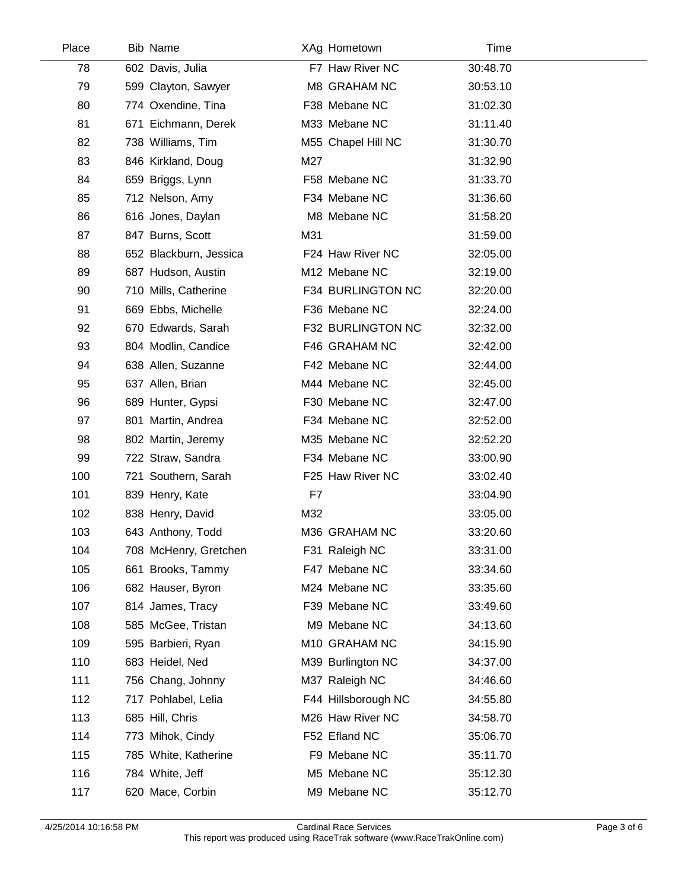| Place | <b>Bib Name</b>        |     | XAg Hometown        | Time     |  |
|-------|------------------------|-----|---------------------|----------|--|
| 78    | 602 Davis, Julia       |     | F7 Haw River NC     | 30:48.70 |  |
| 79    | 599 Clayton, Sawyer    |     | M8 GRAHAM NC        | 30:53.10 |  |
| 80    | 774 Oxendine, Tina     |     | F38 Mebane NC       | 31:02.30 |  |
| 81    | 671 Eichmann, Derek    |     | M33 Mebane NC       | 31:11.40 |  |
| 82    | 738 Williams, Tim      |     | M55 Chapel Hill NC  | 31:30.70 |  |
| 83    | 846 Kirkland, Doug     | M27 |                     | 31:32.90 |  |
| 84    | 659 Briggs, Lynn       |     | F58 Mebane NC       | 31:33.70 |  |
| 85    | 712 Nelson, Amy        |     | F34 Mebane NC       | 31:36.60 |  |
| 86    | 616 Jones, Daylan      |     | M8 Mebane NC        | 31:58.20 |  |
| 87    | 847 Burns, Scott       | M31 |                     | 31:59.00 |  |
| 88    | 652 Blackburn, Jessica |     | F24 Haw River NC    | 32:05.00 |  |
| 89    | 687 Hudson, Austin     |     | M12 Mebane NC       | 32:19.00 |  |
| 90    | 710 Mills, Catherine   |     | F34 BURLINGTON NC   | 32:20.00 |  |
| 91    | 669 Ebbs, Michelle     |     | F36 Mebane NC       | 32:24.00 |  |
| 92    | 670 Edwards, Sarah     |     | F32 BURLINGTON NC   | 32:32.00 |  |
| 93    | 804 Modlin, Candice    |     | F46 GRAHAM NC       | 32:42.00 |  |
| 94    | 638 Allen, Suzanne     |     | F42 Mebane NC       | 32:44.00 |  |
| 95    | 637 Allen, Brian       |     | M44 Mebane NC       | 32:45.00 |  |
| 96    | 689 Hunter, Gypsi      |     | F30 Mebane NC       | 32:47.00 |  |
| 97    | 801 Martin, Andrea     |     | F34 Mebane NC       | 32:52.00 |  |
| 98    | 802 Martin, Jeremy     |     | M35 Mebane NC       | 32:52.20 |  |
| 99    | 722 Straw, Sandra      |     | F34 Mebane NC       | 33:00.90 |  |
| 100   | 721 Southern, Sarah    |     | F25 Haw River NC    | 33:02.40 |  |
| 101   | 839 Henry, Kate        | F7  |                     | 33:04.90 |  |
| 102   | 838 Henry, David       | M32 |                     | 33:05.00 |  |
| 103   | 643 Anthony, Todd      |     | M36 GRAHAM NC       | 33:20.60 |  |
| 104   | 708 McHenry, Gretchen  |     | F31 Raleigh NC      | 33:31.00 |  |
| 105   | 661 Brooks, Tammy      |     | F47 Mebane NC       | 33:34.60 |  |
| 106   | 682 Hauser, Byron      |     | M24 Mebane NC       | 33:35.60 |  |
| 107   | 814 James, Tracy       |     | F39 Mebane NC       | 33:49.60 |  |
| 108   | 585 McGee, Tristan     |     | M9 Mebane NC        | 34:13.60 |  |
| 109   | 595 Barbieri, Ryan     |     | M10 GRAHAM NC       | 34:15.90 |  |
| 110   | 683 Heidel, Ned        |     | M39 Burlington NC   | 34:37.00 |  |
| 111   | 756 Chang, Johnny      |     | M37 Raleigh NC      | 34:46.60 |  |
| 112   | 717 Pohlabel, Lelia    |     | F44 Hillsborough NC | 34:55.80 |  |
| 113   | 685 Hill, Chris        |     | M26 Haw River NC    | 34:58.70 |  |
| 114   | 773 Mihok, Cindy       |     | F52 Efland NC       | 35:06.70 |  |
| 115   | 785 White, Katherine   |     | F9 Mebane NC        | 35:11.70 |  |
| 116   | 784 White, Jeff        |     | M5 Mebane NC        | 35:12.30 |  |
| 117   | 620 Mace, Corbin       |     | M9 Mebane NC        | 35:12.70 |  |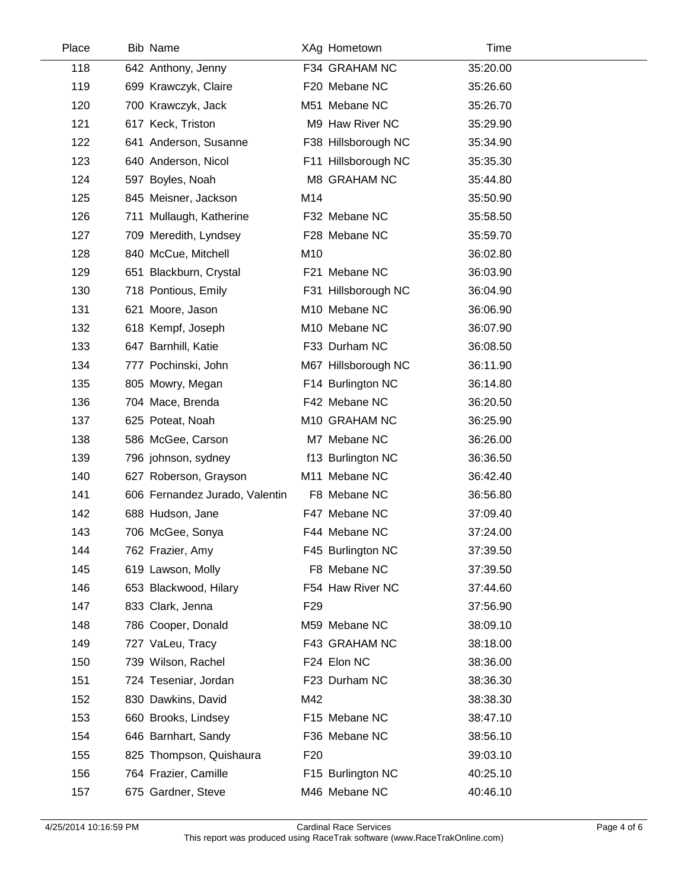| Place | <b>Bib Name</b>                |                 | XAg Hometown        | Time     |  |
|-------|--------------------------------|-----------------|---------------------|----------|--|
| 118   | 642 Anthony, Jenny             |                 | F34 GRAHAM NC       | 35:20.00 |  |
| 119   | 699 Krawczyk, Claire           |                 | F20 Mebane NC       | 35:26.60 |  |
| 120   | 700 Krawczyk, Jack             |                 | M51 Mebane NC       | 35:26.70 |  |
| 121   | 617 Keck, Triston              |                 | M9 Haw River NC     | 35:29.90 |  |
| 122   | 641 Anderson, Susanne          |                 | F38 Hillsborough NC | 35:34.90 |  |
| 123   | 640 Anderson, Nicol            |                 | F11 Hillsborough NC | 35:35.30 |  |
| 124   | 597 Boyles, Noah               |                 | M8 GRAHAM NC        | 35:44.80 |  |
| 125   | 845 Meisner, Jackson           | M14             |                     | 35:50.90 |  |
| 126   | 711 Mullaugh, Katherine        |                 | F32 Mebane NC       | 35:58.50 |  |
| 127   | 709 Meredith, Lyndsey          |                 | F28 Mebane NC       | 35:59.70 |  |
| 128   | 840 McCue, Mitchell            | M10             |                     | 36:02.80 |  |
| 129   | 651 Blackburn, Crystal         |                 | F21 Mebane NC       | 36:03.90 |  |
| 130   | 718 Pontious, Emily            |                 | F31 Hillsborough NC | 36:04.90 |  |
| 131   | 621 Moore, Jason               |                 | M10 Mebane NC       | 36:06.90 |  |
| 132   | 618 Kempf, Joseph              |                 | M10 Mebane NC       | 36:07.90 |  |
| 133   | 647 Barnhill, Katie            |                 | F33 Durham NC       | 36:08.50 |  |
| 134   | 777 Pochinski, John            |                 | M67 Hillsborough NC | 36:11.90 |  |
| 135   | 805 Mowry, Megan               |                 | F14 Burlington NC   | 36:14.80 |  |
| 136   | 704 Mace, Brenda               |                 | F42 Mebane NC       | 36:20.50 |  |
| 137   | 625 Poteat, Noah               |                 | M10 GRAHAM NC       | 36:25.90 |  |
| 138   | 586 McGee, Carson              |                 | M7 Mebane NC        | 36:26.00 |  |
| 139   | 796 johnson, sydney            |                 | f13 Burlington NC   | 36:36.50 |  |
| 140   | 627 Roberson, Grayson          |                 | M11 Mebane NC       | 36:42.40 |  |
| 141   | 606 Fernandez Jurado, Valentin |                 | F8 Mebane NC        | 36:56.80 |  |
| 142   | 688 Hudson, Jane               |                 | F47 Mebane NC       | 37:09.40 |  |
| 143   | 706 McGee, Sonya               |                 | F44 Mebane NC       | 37:24.00 |  |
| 144   | 762 Frazier, Amy               |                 | F45 Burlington NC   | 37:39.50 |  |
| 145   | 619 Lawson, Molly              |                 | F8 Mebane NC        | 37:39.50 |  |
| 146   | 653 Blackwood, Hilary          |                 | F54 Haw River NC    | 37:44.60 |  |
| 147   | 833 Clark, Jenna               | F <sub>29</sub> |                     | 37:56.90 |  |
| 148   | 786 Cooper, Donald             |                 | M59 Mebane NC       | 38:09.10 |  |
| 149   | 727 VaLeu, Tracy               |                 | F43 GRAHAM NC       | 38:18.00 |  |
| 150   | 739 Wilson, Rachel             |                 | F24 Elon NC         | 38:36.00 |  |
| 151   | 724 Teseniar, Jordan           |                 | F23 Durham NC       | 38:36.30 |  |
| 152   | 830 Dawkins, David             | M42             |                     | 38:38.30 |  |
| 153   | 660 Brooks, Lindsey            |                 | F15 Mebane NC       | 38:47.10 |  |
| 154   | 646 Barnhart, Sandy            |                 | F36 Mebane NC       | 38:56.10 |  |
| 155   | 825 Thompson, Quishaura        | F <sub>20</sub> |                     | 39:03.10 |  |
| 156   | 764 Frazier, Camille           |                 | F15 Burlington NC   | 40:25.10 |  |
| 157   | 675 Gardner, Steve             |                 | M46 Mebane NC       | 40:46.10 |  |

 $\overline{a}$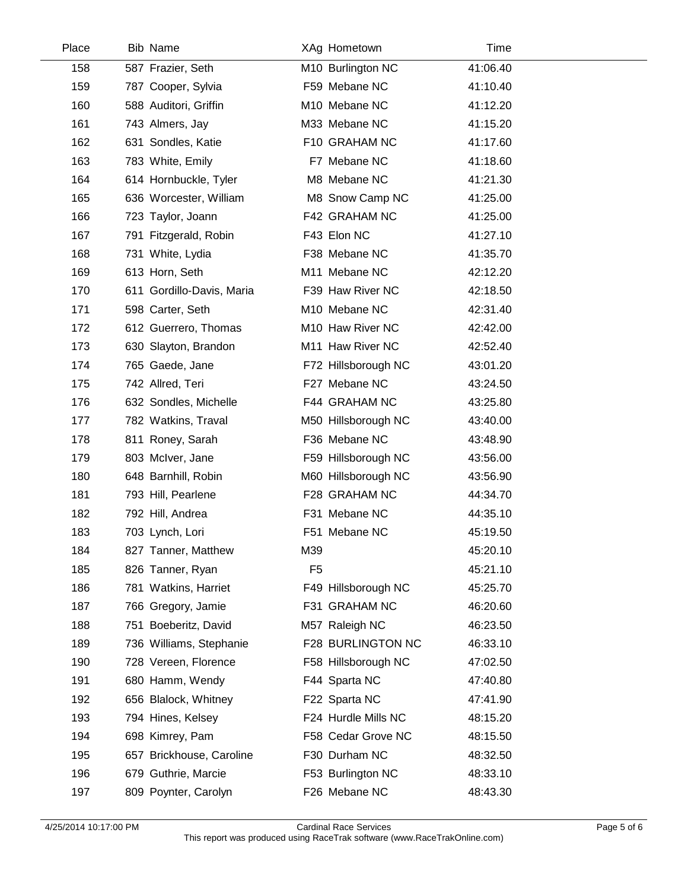| Place | Bib Name                  |                | XAg Hometown        | Time     |  |
|-------|---------------------------|----------------|---------------------|----------|--|
| 158   | 587 Frazier, Seth         |                | M10 Burlington NC   | 41:06.40 |  |
| 159   | 787 Cooper, Sylvia        |                | F59 Mebane NC       | 41:10.40 |  |
| 160   | 588 Auditori, Griffin     |                | M10 Mebane NC       | 41:12.20 |  |
| 161   | 743 Almers, Jay           |                | M33 Mebane NC       | 41:15.20 |  |
| 162   | 631 Sondles, Katie        |                | F10 GRAHAM NC       | 41:17.60 |  |
| 163   | 783 White, Emily          |                | F7 Mebane NC        | 41:18.60 |  |
| 164   | 614 Hornbuckle, Tyler     |                | M8 Mebane NC        | 41:21.30 |  |
| 165   | 636 Worcester, William    |                | M8 Snow Camp NC     | 41:25.00 |  |
| 166   | 723 Taylor, Joann         |                | F42 GRAHAM NC       | 41:25.00 |  |
| 167   | 791 Fitzgerald, Robin     |                | F43 Elon NC         | 41:27.10 |  |
| 168   | 731 White, Lydia          |                | F38 Mebane NC       | 41:35.70 |  |
| 169   | 613 Horn, Seth            |                | M11 Mebane NC       | 42:12.20 |  |
| 170   | 611 Gordillo-Davis, Maria |                | F39 Haw River NC    | 42:18.50 |  |
| 171   | 598 Carter, Seth          |                | M10 Mebane NC       | 42:31.40 |  |
| 172   | 612 Guerrero, Thomas      |                | M10 Haw River NC    | 42:42.00 |  |
| 173   | 630 Slayton, Brandon      |                | M11 Haw River NC    | 42:52.40 |  |
| 174   | 765 Gaede, Jane           |                | F72 Hillsborough NC | 43:01.20 |  |
| 175   | 742 Allred, Teri          |                | F27 Mebane NC       | 43:24.50 |  |
| 176   | 632 Sondles, Michelle     |                | F44 GRAHAM NC       | 43:25.80 |  |
| 177   | 782 Watkins, Traval       |                | M50 Hillsborough NC | 43:40.00 |  |
| 178   | 811 Roney, Sarah          |                | F36 Mebane NC       | 43:48.90 |  |
| 179   | 803 McIver, Jane          |                | F59 Hillsborough NC | 43:56.00 |  |
| 180   | 648 Barnhill, Robin       |                | M60 Hillsborough NC | 43:56.90 |  |
| 181   | 793 Hill, Pearlene        |                | F28 GRAHAM NC       | 44:34.70 |  |
| 182   | 792 Hill, Andrea          |                | F31 Mebane NC       | 44:35.10 |  |
| 183   | 703 Lynch, Lori           |                | F51 Mebane NC       | 45:19.50 |  |
| 184   | 827 Tanner, Matthew       | M39            |                     | 45:20.10 |  |
| 185   | 826 Tanner, Ryan          | F <sub>5</sub> |                     | 45:21.10 |  |
| 186   | 781 Watkins, Harriet      |                | F49 Hillsborough NC | 45:25.70 |  |
| 187   | 766 Gregory, Jamie        |                | F31 GRAHAM NC       | 46:20.60 |  |
| 188   | 751 Boeberitz, David      |                | M57 Raleigh NC      | 46:23.50 |  |
| 189   | 736 Williams, Stephanie   |                | F28 BURLINGTON NC   | 46:33.10 |  |
| 190   | 728 Vereen, Florence      |                | F58 Hillsborough NC | 47:02.50 |  |
| 191   | 680 Hamm, Wendy           |                | F44 Sparta NC       | 47:40.80 |  |
| 192   | 656 Blalock, Whitney      |                | F22 Sparta NC       | 47:41.90 |  |
| 193   | 794 Hines, Kelsey         |                | F24 Hurdle Mills NC | 48:15.20 |  |
| 194   | 698 Kimrey, Pam           |                | F58 Cedar Grove NC  | 48:15.50 |  |
| 195   | 657 Brickhouse, Caroline  |                | F30 Durham NC       | 48:32.50 |  |
| 196   | 679 Guthrie, Marcie       |                | F53 Burlington NC   | 48:33.10 |  |
| 197   | 809 Poynter, Carolyn      |                | F26 Mebane NC       | 48:43.30 |  |

 $\overline{\phantom{a}}$